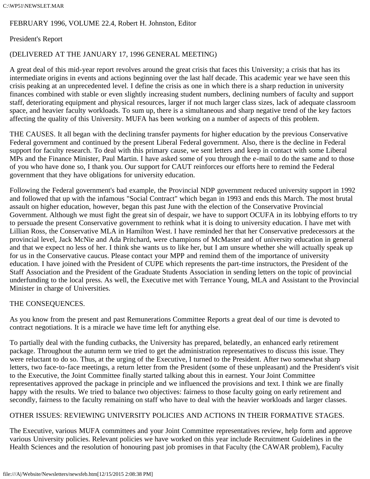### C:\WP51\NEWSLET.MAR

# FEBRUARY 1996, VOLUME 22.4, Robert H. Johnston, Editor

## President's Report

## (DELIVERED AT THE JANUARY 17, 1996 GENERAL MEETING)

A great deal of this mid-year report revolves around the great crisis that faces this University; a crisis that has its intermediate origins in events and actions beginning over the last half decade. This academic year we have seen this crisis peaking at an unprecedented level. I define the crisis as one in which there is a sharp reduction in university finances combined with stable or even slightly increasing student numbers, declining numbers of faculty and support staff, deteriorating equipment and physical resources, larger if not much larger class sizes, lack of adequate classroom space, and heavier faculty workloads. To sum up, there is a simultaneous and sharp negative trend of the key factors affecting the quality of this University. MUFA has been working on a number of aspects of this problem.

THE CAUSES. It all began with the declining transfer payments for higher education by the previous Conservative Federal government and continued by the present Liberal Federal government. Also, there is the decline in Federal support for faculty research. To deal with this primary cause, we sent letters and keep in contact with some Liberal MPs and the Finance Minister, Paul Martin. I have asked some of you through the e-mail to do the same and to those of you who have done so, I thank you. Our support for CAUT reinforces our efforts here to remind the Federal government that they have obligations for university education.

Following the Federal government's bad example, the Provincial NDP government reduced university support in 1992 and followed that up with the infamous "Social Contract" which began in 1993 and ends this March. The most brutal assault on higher education, however, began this past June with the election of the Conservative Provincial Government. Although we must fight the great sin of despair, we have to support OCUFA in its lobbying efforts to try to persuade the present Conservative government to rethink what it is doing to university education. I have met with Lillian Ross, the Conservative MLA in Hamilton West. I have reminded her that her Conservative predecessors at the provincial level, Jack McNie and Ada Pritchard, were champions of McMaster and of university education in general and that we expect no less of her. I think she wants us to like her, but I am unsure whether she will actually speak up for us in the Conservative caucus. Please contact your MPP and remind them of the importance of university education. I have joined with the President of CUPE which represents the part-time instructors, the President of the Staff Association and the President of the Graduate Students Association in sending letters on the topic of provincial underfunding to the local press. As well, the Executive met with Terrance Young, MLA and Assistant to the Provincial Minister in charge of Universities.

## THE CONSEQUENCES.

As you know from the present and past Remunerations Committee Reports a great deal of our time is devoted to contract negotiations. It is a miracle we have time left for anything else.

To partially deal with the funding cutbacks, the University has prepared, belatedly, an enhanced early retirement package. Throughout the autumn term we tried to get the administration representatives to discuss this issue. They were reluctant to do so. Thus, at the urging of the Executive, I turned to the President. After two somewhat sharp letters, two face-to-face meetings, a return letter from the President (some of these unpleasant) and the President's visit to the Executive, the Joint Committee finally started talking about this in earnest. Your Joint Committee representatives approved the package in principle and we influenced the provisions and text. I think we are finally happy with the results. We tried to balance two objectives: fairness to those faculty going on early retirement and secondly, fairness to the faculty remaining on staff who have to deal with the heavier workloads and larger classes.

# OTHER ISSUES: REVIEWING UNIVERSITY POLICIES AND ACTIONS IN THEIR FORMATIVE STAGES.

The Executive, various MUFA committees and your Joint Committee representatives review, help form and approve various University policies. Relevant policies we have worked on this year include Recruitment Guidelines in the Health Sciences and the resolution of honouring past job promises in that Faculty (the CAWAR problem), Faculty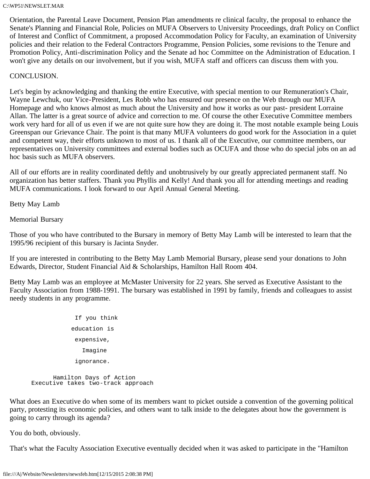Orientation, the Parental Leave Document, Pension Plan amendments re clinical faculty, the proposal to enhance the Senate's Planning and Financial Role, Policies on MUFA Observers to University Proceedings, draft Policy on Conflict of Interest and Conflict of Commitment, a proposed Accommodation Policy for Faculty, an examination of University policies and their relation to the Federal Contractors Programme, Pension Policies, some revisions to the Tenure and Promotion Policy, Anti-discrimination Policy and the Senate ad hoc Committee on the Administration of Education. I won't give any details on our involvement, but if you wish, MUFA staff and officers can discuss them with you.

## CONCLUSION.

Let's begin by acknowledging and thanking the entire Executive, with special mention to our Remuneration's Chair, Wayne Lewchuk, our Vice-President, Les Robb who has ensured our presence on the Web through our MUFA Homepage and who knows almost as much about the University and how it works as our past- president Lorraine Allan. The latter is a great source of advice and correction to me. Of course the other Executive Committee members work very hard for all of us even if we are not quite sure how they are doing it. The most notable example being Louis Greenspan our Grievance Chair. The point is that many MUFA volunteers do good work for the Association in a quiet and competent way, their efforts unknown to most of us. I thank all of the Executive, our committee members, our representatives on University committees and external bodies such as OCUFA and those who do special jobs on an ad hoc basis such as MUFA observers.

All of our efforts are in reality coordinated deftly and unobtrusively by our greatly appreciated permanent staff. No organization has better staffers. Thank you Phyllis and Kelly! And thank you all for attending meetings and reading MUFA communications. I look forward to our April Annual General Meeting.

Betty May Lamb

Memorial Bursary

Those of you who have contributed to the Bursary in memory of Betty May Lamb will be interested to learn that the 1995/96 recipient of this bursary is Jacinta Snyder.

If you are interested in contributing to the Betty May Lamb Memorial Bursary, please send your donations to John Edwards, Director, Student Financial Aid & Scholarships, Hamilton Hall Room 404.

Betty May Lamb was an employee at McMaster University for 22 years. She served as Executive Assistant to the Faculty Association from 1988-1991. The bursary was established in 1991 by family, friends and colleagues to assist needy students in any programme.

```
 If you think
              education is 
               expensive, 
                 Imagine 
               ignorance. 
       Hamilton Days of Action 
 Executive takes two-track approach
```
What does an Executive do when some of its members want to picket outside a convention of the governing political party, protesting its economic policies, and others want to talk inside to the delegates about how the government is going to carry through its agenda?

You do both, obviously.

That's what the Faculty Association Executive eventually decided when it was asked to participate in the "Hamilton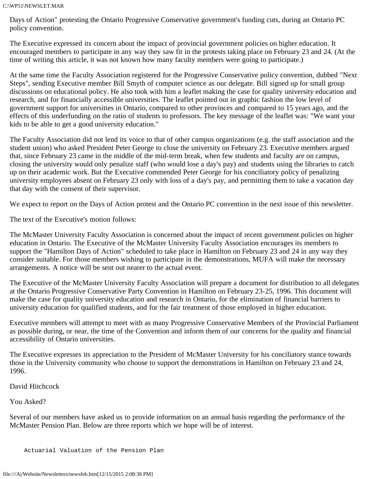Days of Action" protesting the Ontario Progressive Conservative government's funding cuts, during an Ontario PC policy convention.

The Executive expressed its concern about the impact of provincial government policies on higher education. It encouraged members to participate in any way they saw fit in the protests taking place on February 23 and 24. (At the time of writing this article, it was not known how many faculty members were going to participate.)

At the same time the Faculty Association registered for the Progressive Conservative policy convention, dubbed "Next Steps", sending Executive member Bill Smyth of computer science as our delegate. Bill signed up for small group discussions on educational policy. He also took with him a leaflet making the case for quality university education and research, and for financially accessible universities. The leaflet pointed out in graphic fashion the low level of government support for universities in Ontario, compared to other provinces and compared to 15 years ago, and the effects of this underfunding on the ratio of students to professors. The key message of the leaflet was: "We want your kids to be able to get a good university education."

The Faculty Association did not lend its voice to that of other campus organizations (e.g. the staff association and the student union) who asked President Peter George to close the university on February 23. Executive members argued that, since February 23 came in the middle of the mid-term break, when few students and faculty are on campus, closing the university would only penalize staff (who would lose a day's pay) and students using the libraries to catch up on their academic work. But the Executive commended Peter George for his conciliatory policy of penalizing university employees absent on February 23 only with loss of a day's pay, and permitting them to take a vacation day that day with the consent of their supervisor.

We expect to report on the Days of Action protest and the Ontario PC convention in the next issue of this newsletter.

The text of the Executive's motion follows:

The McMaster University Faculty Association is concerned about the impact of recent government policies on higher education in Ontario. The Executive of the McMaster University Faculty Association encourages its members to support the "Hamilton Days of Action" scheduled to take place in Hamilton on February 23 and 24 in any way they consider suitable. For those members wishing to participate in the demonstrations, MUFA will make the necessary arrangements. A notice will be sent out nearer to the actual event.

The Executive of the McMaster University Faculty Association will prepare a document for distribution to all delegates at the Ontario Progressive Conservative Party Convention in Hamilton on February 23-25, 1996. This document will make the case for quality university education and research in Ontario, for the elimination of financial barriers to university education for qualified students, and for the fair treatment of those employed in higher education.

Executive members will attempt to meet with as many Progressive Conservative Members of the Provincial Parliament as possible during, or near, the time of the Convention and inform them of our concerns for the quality and financial accessibility of Ontario universities.

The Executive expresses its appreciation to the President of McMaster University for his conciliatory stance towards those in the University community who choose to support the demonstrations in Hamilton on February 23 and 24, 1996.

David Hitchcock

You Asked?

Several of our members have asked us to provide information on an annual basis regarding the performance of the McMaster Pension Plan. Below are three reports which we hope will be of interest.

Actuarial Valuation of the Pension Plan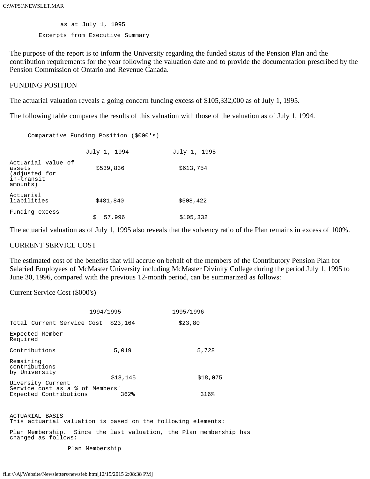as at July 1, 1995 Excerpts from Executive Summary

The purpose of the report is to inform the University regarding the funded status of the Pension Plan and the contribution requirements for the year following the valuation date and to provide the documentation prescribed by the Pension Commission of Ontario and Revenue Canada.

### FUNDING POSITION

The actuarial valuation reveals a going concern funding excess of \$105,332,000 as of July 1, 1995.

The following table compares the results of this valuation with those of the valuation as of July 1, 1994.

Comparative Funding Position (\$000's)

|                                                                         | July 1, 1994 | July 1, 1995 |
|-------------------------------------------------------------------------|--------------|--------------|
| Actuarial value of<br>assets<br>(adjusted for<br>in-transit<br>amounts) | \$539,836    | \$613,754    |
| Actuarial<br>liabilities                                                | \$481,840    | \$508,422    |
| Funding excess                                                          | 57,996<br>\$ | \$105,332    |

The actuarial valuation as of July 1, 1995 also reveals that the solvency ratio of the Plan remains in excess of 100%.

### CURRENT SERVICE COST

The estimated cost of the benefits that will accrue on behalf of the members of the Contributory Pension Plan for Salaried Employees of McMaster University including McMaster Divinity College during the period July 1, 1995 to June 30, 1996, compared with the previous 12-month period, can be summarized as follows:

Current Service Cost (\$000's)

|                                                                                | 1994/1995 |          | 1995/1996 |          |
|--------------------------------------------------------------------------------|-----------|----------|-----------|----------|
| Total Current Service Cost \$23,164                                            |           |          | \$23,80   |          |
| Expected Member<br>Required                                                    |           |          |           |          |
| Contributions                                                                  |           | 5,019    |           | 5,728    |
| Remaining<br>contributions<br>by University                                    |           |          |           |          |
|                                                                                |           | \$18,145 |           | \$18,075 |
| Uiversity Current<br>Service cost as a % of Members'<br>Expected Contributions |           | 362%     |           | 316%     |

ACTUARIAL BASIS This actuarial valuation is based on the following elements:

Plan Membership. Since the last valuation, the Plan membership has changed as follows:

Plan Membership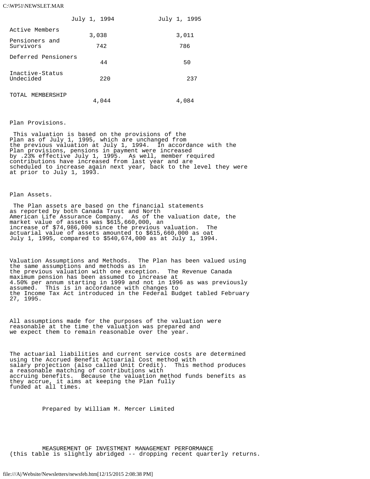### C:\WP51\NEWSLET.MAR

|                              | July 1, 1994 | July 1, 1995 |
|------------------------------|--------------|--------------|
| Active Members               | 3,038        | 3,011        |
| Pensioners and               |              |              |
| Survivors                    | 742          | 786          |
| Deferred Pensioners          |              |              |
|                              | 44           | 50           |
| Inactive-Status<br>Undecided | 220          | 237          |
| TOTAL MEMBERSHIP             | 4,044        | 4,084        |

#### Plan Provisions.

 This valuation is based on the provisions of the Plan as of July 1, 1995, which are unchanged from the previous valuation at July 1, 1994. In accordance with the Plan provisions, pensions in payment were increased by .23% effective July 1, 1995. As well, member required contributions have increased from last year and are scheduled to increase again next year, back to the level they were at prior to July 1, 1993.

#### Plan Assets.

 The Plan assets are based on the financial statements as reported by both Canada Trust and North American Life Assurance Company. As of the valuation date, the market value of assets was \$615,660,000, an increase of \$74,986,000 since the previous valuation. The actuarial value of assets amounted to \$615,660,000 as oat July 1, 1995, compared to \$540,674,000 as at July 1, 1994.

Valuation Assumptions and Methods. The Plan has been valued using the same assumptions and methods as in the previous valuation with one exception. The Revenue Canada maximum pension has been assumed to increase at 4.50% per annum starting in 1999 and not in 1996 as was previously assumed. This is in accordance with changes to the Income Tax Act introduced in the Federal Budget tabled February 27, 1995.

All assumptions made for the purposes of the valuation were reasonable at the time the valuation was prepared and we expect them to remain reasonable over the year.

The actuarial liabilities and current service costs are determined using the Accrued Benefit Actuarial Cost method with<br>salary projection (also called Unit Credit). This method produces salary projection (also called Unit Credit). a reasonable matching of contributions with accruing benefits. Because the valuation method funds benefits as they accrue, it aims at keeping the Plan fully funded at all times.

Prepared by William M. Mercer Limited

 MEASUREMENT OF INVESTMENT MANAGEMENT PERFORMANCE (this table is slightly abridged -- dropping recent quarterly returns.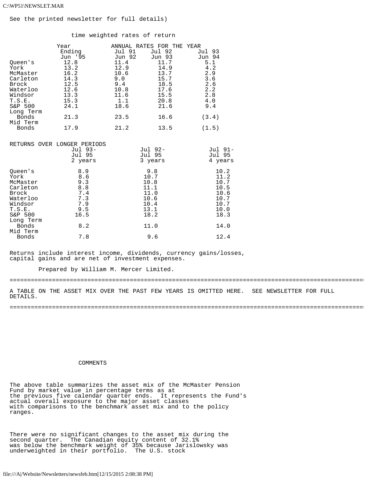See the printed newsletter for full details)

time weighted rates of return

| Oueen's<br>York<br>McMaster<br>Carleton<br>Brock<br>Waterloo<br>Windsor<br>T.S.E.<br>S&P 500<br>Long Term<br>Bonds<br>Mid Term<br>Bonds | Year<br>Ending<br>Jun '95<br>12.8<br>13.2<br>16.2<br>14.3<br>12.5<br>12.6<br>13.3<br>15.3<br>24.1<br>21.3<br>17.9 | Jul 91<br>Jun 92<br>11.4<br>12.9<br>10.6<br>9.0<br>9.4<br>10.8<br>11.6<br>1.1<br>18.6<br>23.5<br>21.2 | ANNUAL RATES FOR THE YEAR<br>Jul 92<br>Jun 93<br>11.7<br>14.9<br>13.7<br>15.7<br>18.5<br>17.6<br>15.5<br>20.8<br>21.6<br>16.6<br>13.5 | Jul 93<br>Jun 94<br>5.1<br>4.2<br>2.9<br>3.6<br>2.6<br>2.2<br>2.8<br>4.0<br>9.4<br>(3.4)<br>(1.5) |
|-----------------------------------------------------------------------------------------------------------------------------------------|-------------------------------------------------------------------------------------------------------------------|-------------------------------------------------------------------------------------------------------|---------------------------------------------------------------------------------------------------------------------------------------|---------------------------------------------------------------------------------------------------|
|                                                                                                                                         | RETURNS OVER LONGER PERIODS<br>Jul 93-<br>Jul 95<br>2 years                                                       |                                                                                                       | Jul 92-<br>Jul 95<br>3 years                                                                                                          | Jul 91-<br>Jul 95<br>4 years                                                                      |
| Oueen's<br>Vork                                                                                                                         | 8.9<br>$R$ 6                                                                                                      |                                                                                                       | 9.8<br>10 7                                                                                                                           | 10.2<br>11 2                                                                                      |

| $28-12$   |      |      |      |
|-----------|------|------|------|
| York      | 8.6  | 10.7 | 11.2 |
| McMaster  | 9.3  | 10.8 | 10.7 |
| Carleton  | 8.8  | 11.1 | 10.5 |
| Brock     | 7.4  | 11.0 | 10.6 |
| Waterloo  | 7.3  | 10.6 | 10.7 |
| Windsor   | 7.9  | 10.4 | 10.7 |
| T.S.E.    | 9.5  | 13.1 | 10.0 |
| S&P 500   | 16.5 | 18.2 | 18.3 |
| Long Term |      |      |      |
| Bonds     | 8.2  | 11.0 | 14.0 |
| Mid Term  |      |      |      |
| Bonds     | 7.8  | 9.6  | 12.4 |
|           |      |      |      |

Returns include interest income, dividends, currency gains/losses, capital gains and are net of investment expenses.

Prepared by William M. Mercer Limited.

=====================================================================================================

A TABLE ON THE ASSET MIX OVER THE PAST FEW YEARS IS OMITTED HERE. SEE NEWSLETTER FOR FULL DETAILS.

=====================================================================================================

### COMMENTS

The above table summarizes the asset mix of the McMaster Pension Fund by market value in percentage terms as at the previous five calendar quarter ends. It represents the Fund's actual overall exposure to the major asset classes with comparisons to the benchmark asset mix and to the policy ranges.

There were no significant changes to the asset mix during the second quarter. The Canadian equity content of 32.1% was below the benchmark weight of 35% because Jarislowsky was underweighted in their portfolio. The U.S. stock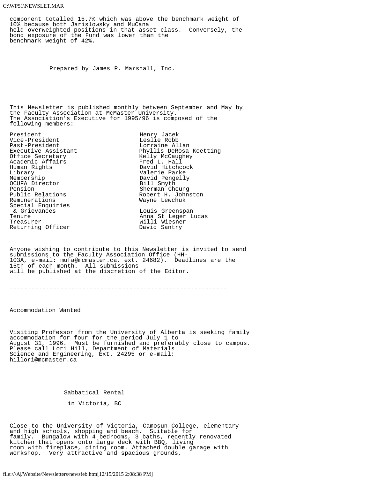#### C:\WP51\NEWSLET.MAR

component totalled 15.7% which was above the benchmark weight of 10% because both Jarislowsky and MuCana held overweighted positions in that asset class. Conversely, the bond exposure of the Fund was lower than the benchmark weight of 42%.

Prepared by James P. Marshall, Inc.

This Newsletter is published monthly between September and May by the Faculty Association at McMaster University. The Association's Executive for 1995/96 is composed of the following members:

President Henry Jacek Vice-President<br>Past-President Past-President Lorraine Allan Executive Assistant Lorraine Allan Executive Assistant Academic Affairs<br>Human Rights Human Rights David Hitchcock Library Valerie Parke OCUFA Director<br>Pension Pension Sherman Cheung<br>Public Relations Cheung Robert H. John: Public Relations<br>
Remunerations<br>
Remunerations<br>
Remunerations Special Enquiries<br>& Grievances & Grievances and Louis Greenspan (2008)<br>Tenure Louis Channel Channel Anna St Leger L Returning Officer

Executive Assistant Phyllis DeRosa Koetting Kelly McCaughey<br>Fred L. Hall David Pengelly<br>Bill Smyth Wayne Lewchuk Tenure Anna St Leger Lucas Willi Wiesner<br>David Santry

Anyone wishing to contribute to this Newsletter is invited to send submissions to the Faculty Association Office (HH-103A, e-mail: mufa@mcmaster.ca, ext. 24682). Deadlines are the 15th of each month. All submissions will be published at the discretion of the Editor.

------------------------------------------------------------

 $\overline{a}$ Accommodation Wanted

Visiting Professor from the University of Alberta is seeking family accommodation for four for the period July 1 to August 31, 1996. Must be furnished and preferably close to campus. Please call Lori Hill, Department of Materials Science and Engineering, Ext. 24295 or e-mail: hillori@mcmaster.ca

Sabbatical Rental

in Victoria, BC

Close to the University of Victoria, Camosun College, elementary and high schools, shopping and beach. Suitable for family. Bungalow with 4 bedrooms, 3 baths, recently renovated kitchen that opens onto large deck with BBQ, living room with fireplace, dining room. Attached double garage with workshop. Very attractive and spacious grounds,